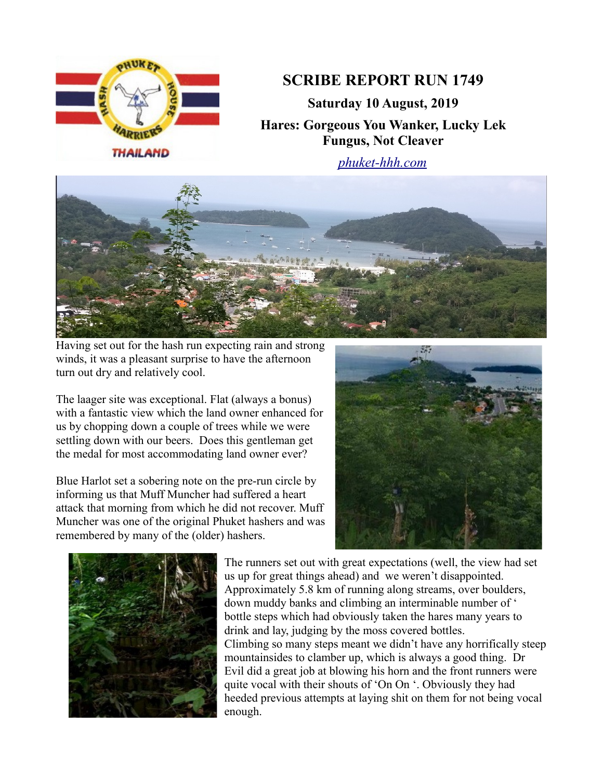

## **SCRIBE REPORT RUN 1749**

**Saturday 10 August, 2019 Hares: Gorgeous You Wanker, Lucky Lek Fungus, Not Cleaver**

*[phuket-hhh.com](http://phuket-hhh.com/)*



Having set out for the hash run expecting rain and strong winds, it was a pleasant surprise to have the afternoon turn out dry and relatively cool.

The laager site was exceptional. Flat (always a bonus) with a fantastic view which the land owner enhanced for us by chopping down a couple of trees while we were settling down with our beers. Does this gentleman get the medal for most accommodating land owner ever?

Blue Harlot set a sobering note on the pre-run circle by informing us that Muff Muncher had suffered a heart attack that morning from which he did not recover. Muff Muncher was one of the original Phuket hashers and was remembered by many of the (older) hashers.





The runners set out with great expectations (well, the view had set us up for great things ahead) and we weren't disappointed. Approximately 5.8 km of running along streams, over boulders, down muddy banks and climbing an interminable number of ' bottle steps which had obviously taken the hares many years to drink and lay, judging by the moss covered bottles. Climbing so many steps meant we didn't have any horrifically steep mountainsides to clamber up, which is always a good thing. Dr Evil did a great job at blowing his horn and the front runners were quite vocal with their shouts of 'On On '. Obviously they had heeded previous attempts at laying shit on them for not being vocal enough.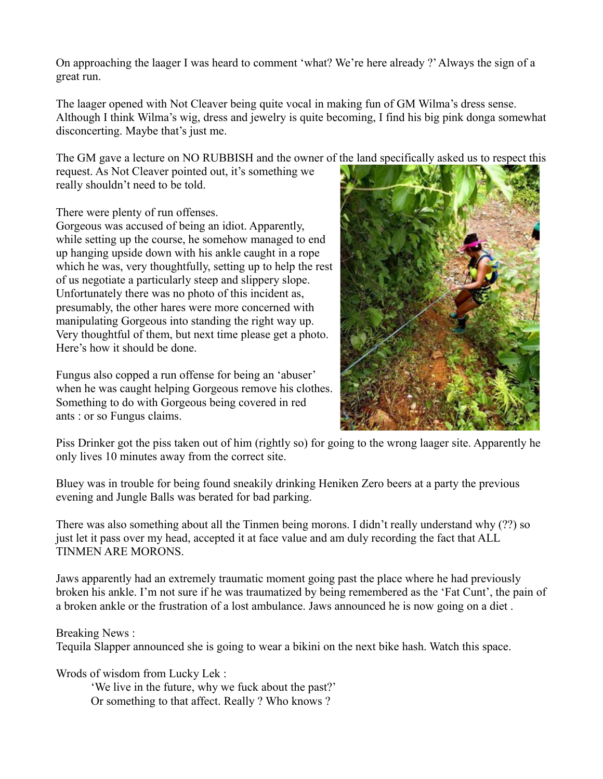On approaching the laager I was heard to comment 'what? We're here already ?' Always the sign of a great run.

The laager opened with Not Cleaver being quite vocal in making fun of GM Wilma's dress sense. Although I think Wilma's wig, dress and jewelry is quite becoming, I find his big pink donga somewhat disconcerting. Maybe that's just me.

The GM gave a lecture on NO RUBBISH and the owner of the land specifically asked us to respect this

request. As Not Cleaver pointed out, it's something we really shouldn't need to be told.

There were plenty of run offenses.

Gorgeous was accused of being an idiot. Apparently, while setting up the course, he somehow managed to end up hanging upside down with his ankle caught in a rope which he was, very thoughtfully, setting up to help the rest of us negotiate a particularly steep and slippery slope. Unfortunately there was no photo of this incident as, presumably, the other hares were more concerned with manipulating Gorgeous into standing the right way up. Very thoughtful of them, but next time please get a photo. Here's how it should be done.

Fungus also copped a run offense for being an 'abuser' when he was caught helping Gorgeous remove his clothes. Something to do with Gorgeous being covered in red ants : or so Fungus claims.



Piss Drinker got the piss taken out of him (rightly so) for going to the wrong laager site. Apparently he only lives 10 minutes away from the correct site.

Bluey was in trouble for being found sneakily drinking Heniken Zero beers at a party the previous evening and Jungle Balls was berated for bad parking.

There was also something about all the Tinmen being morons. I didn't really understand why (??) so just let it pass over my head, accepted it at face value and am duly recording the fact that ALL TINMEN ARE MORONS.

Jaws apparently had an extremely traumatic moment going past the place where he had previously broken his ankle. I'm not sure if he was traumatized by being remembered as the 'Fat Cunt', the pain of a broken ankle or the frustration of a lost ambulance. Jaws announced he is now going on a diet .

## Breaking News :

Tequila Slapper announced she is going to wear a bikini on the next bike hash. Watch this space.

Wrods of wisdom from Lucky Lek :

'We live in the future, why we fuck about the past?' Or something to that affect. Really ? Who knows ?